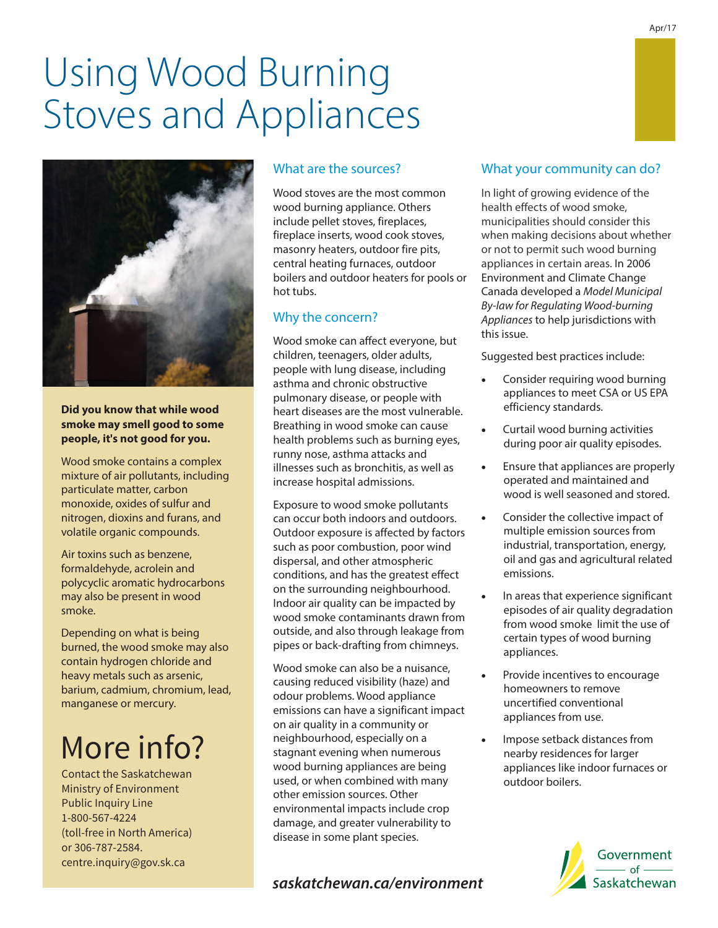# Using Wood Burning Stoves and Appliances



**Did you know that while wood smoke may smell good to some people, it's not good for you.**

Wood smoke contains a complex mixture of air pollutants, including particulate matter, carbon monoxide, oxides of sulfur and nitrogen, dioxins and furans, and volatile organic compounds.

Air toxins such as benzene, formaldehyde, acrolein and polycyclic aromatic hydrocarbons may also be present in wood smoke.

Depending on what is being burned, the wood smoke may also contain hydrogen chloride and heavy metals such as arsenic, barium, cadmium, chromium, lead, manganese or mercury.

# More info?

Contact the Saskatchewan Ministry of Environment Public Inquiry Line 1-800-567-4224 (toll-free in North America) or 306-787-2584. centre.inquiry@gov.sk.ca

# What are the sources?

Wood stoves are the most common wood burning appliance. Others include pellet stoves, fireplaces, fireplace inserts, wood cook stoves, masonry heaters, outdoor fire pits, central heating furnaces, outdoor boilers and outdoor heaters for pools or hot tubs.

### Why the concern?

Wood smoke can affect everyone, but children, teenagers, older adults, people with lung disease, including asthma and chronic obstructive pulmonary disease, or people with heart diseases are the most vulnerable. Breathing in wood smoke can cause health problems such as burning eyes, runny nose, asthma attacks and illnesses such as bronchitis, as well as increase hospital admissions.

Exposure to wood smoke pollutants can occur both indoors and outdoors. Outdoor exposure is affected by factors such as poor combustion, poor wind dispersal, and other atmospheric conditions, and has the greatest effect on the surrounding neighbourhood. Indoor air quality can be impacted by wood smoke contaminants drawn from outside, and also through leakage from pipes or back-drafting from chimneys.

Wood smoke can also be a nuisance, causing reduced visibility (haze) and odour problems. Wood appliance emissions can have a significant impact on air quality in a community or neighbourhood, especially on a stagnant evening when numerous wood burning appliances are being used, or when combined with many other emission sources. Other environmental impacts include crop damage, and greater vulnerability to disease in some plant species.

# *saskatchewan.ca/environment*

# What your community can do?

In light of growing evidence of the health effects of wood smoke, municipalities should consider this when making decisions about whether or not to permit such wood burning appliances in certain areas. In 2006 Environment and Climate Change Canada developed a *Model Municipal By-law for Regulating Wood-burning Appliances* to help jurisdictions with this issue.

Suggested best practices include:

- Consider requiring wood burning appliances to meet CSA or US EPA efficiency standards.
- · Curtail wood burning activities during poor air quality episodes.
- Ensure that appliances are properly operated and maintained and wood is well seasoned and stored.
- Consider the collective impact of multiple emission sources from industrial, transportation, energy, oil and gas and agricultural related emissions.
- In areas that experience significant episodes of air quality degradation from wood smoke limit the use of certain types of wood burning appliances.
- Provide incentives to encourage homeowners to remove uncertified conventional appliances from use.
- Impose setback distances from nearby residences for larger appliances like indoor furnaces or outdoor boilers.

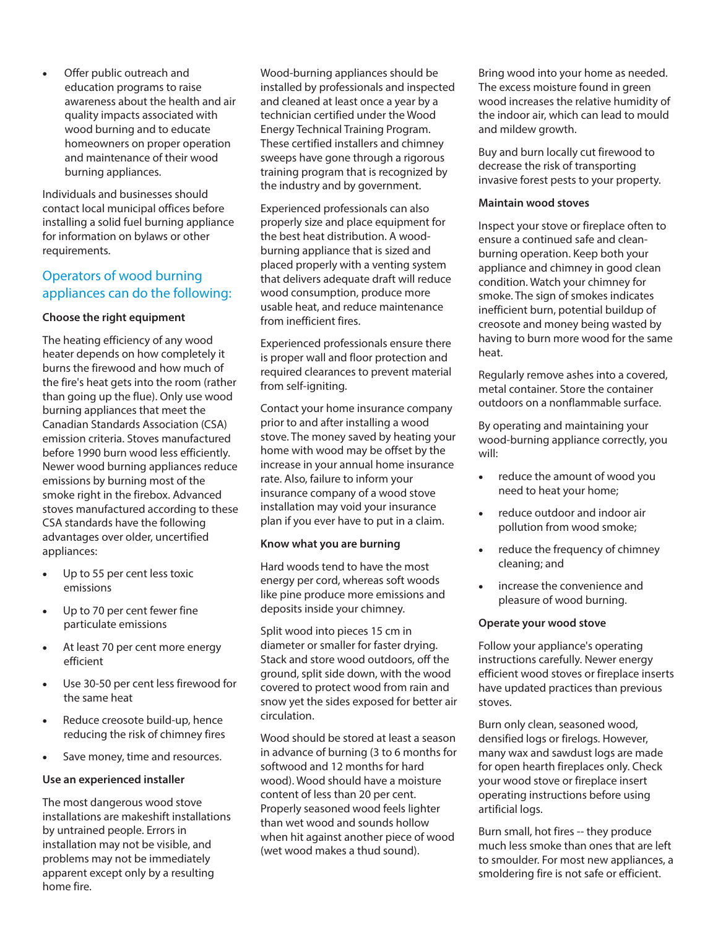Offer public outreach and education programs to raise awareness about the health and air quality impacts associated with wood burning and to educate homeowners on proper operation and maintenance of their wood burning appliances.

Individuals and businesses should contact local municipal offices before installing a solid fuel burning appliance for information on bylaws or other requirements.

# Operators of wood burning appliances can do the following:

#### **Choose the right equipment**

The heating efficiency of any wood heater depends on how completely it burns the firewood and how much of the fire's heat gets into the room (rather than going up the flue). Only use wood burning appliances that meet the Canadian Standards Association (CSA) emission criteria. Stoves manufactured before 1990 burn wood less efficiently. Newer wood burning appliances reduce emissions by burning most of the smoke right in the firebox. Advanced stoves manufactured according to these CSA standards have the following advantages over older, uncertified appliances:

- · Up to 55 per cent less toxic emissions
- · Up to 70 per cent fewer fine particulate emissions
- · At least 70 per cent more energy efficient
- Use 30-50 per cent less firewood for the same heat
- Reduce creosote build-up, hence reducing the risk of chimney fires
- · Save money, time and resources.

#### **Use an experienced installer**

The most dangerous wood stove installations are makeshift installations by untrained people. Errors in installation may not be visible, and problems may not be immediately apparent except only by a resulting home fire.

Wood-burning appliances should be installed by professionals and inspected and cleaned at least once a year by a technician certified under the Wood Energy Technical Training Program. These certified installers and chimney sweeps have gone through a rigorous training program that is recognized by the industry and by government.

Experienced professionals can also properly size and place equipment for the best heat distribution. A woodburning appliance that is sized and placed properly with a venting system that delivers adequate draft will reduce wood consumption, produce more usable heat, and reduce maintenance from inefficient fires.

Experienced professionals ensure there is proper wall and floor protection and required clearances to prevent material from self-igniting.

Contact your home insurance company prior to and after installing a wood stove. The money saved by heating your home with wood may be offset by the increase in your annual home insurance rate. Also, failure to inform your insurance company of a wood stove installation may void your insurance plan if you ever have to put in a claim.

#### **Know what you are burning**

Hard woods tend to have the most energy per cord, whereas soft woods like pine produce more emissions and deposits inside your chimney.

Split wood into pieces 15 cm in diameter or smaller for faster drying. Stack and store wood outdoors, off the ground, split side down, with the wood covered to protect wood from rain and snow yet the sides exposed for better air circulation.

Wood should be stored at least a season in advance of burning (3 to 6 months for softwood and 12 months for hard wood). Wood should have a moisture content of less than 20 per cent. Properly seasoned wood feels lighter than wet wood and sounds hollow when hit against another piece of wood (wet wood makes a thud sound).

Bring wood into your home as needed. The excess moisture found in green wood increases the relative humidity of the indoor air, which can lead to mould and mildew growth.

Buy and burn locally cut firewood to decrease the risk of transporting invasive forest pests to your property.

#### **Maintain wood stoves**

Inspect your stove or fireplace often to ensure a continued safe and cleanburning operation. Keep both your appliance and chimney in good clean condition. Watch your chimney for smoke. The sign of smokes indicates inefficient burn, potential buildup of creosote and money being wasted by having to burn more wood for the same heat.

Regularly remove ashes into a covered, metal container. Store the container outdoors on a nonflammable surface.

By operating and maintaining your wood-burning appliance correctly, you will:

- · reduce the amount of wood you need to heat your home;
- · reduce outdoor and indoor air pollution from wood smoke;
- · reduce the frequency of chimney cleaning; and
- · increase the convenience and pleasure of wood burning.

#### **Operate your wood stove**

Follow your appliance's operating instructions carefully. Newer energy efficient wood stoves or fireplace inserts have updated practices than previous stoves.

Burn only clean, seasoned wood, densified logs or firelogs. However, many wax and sawdust logs are made for open hearth fireplaces only. Check your wood stove or fireplace insert operating instructions before using artificial logs.

Burn small, hot fires -- they produce much less smoke than ones that are left to smoulder. For most new appliances, a smoldering fire is not safe or efficient.